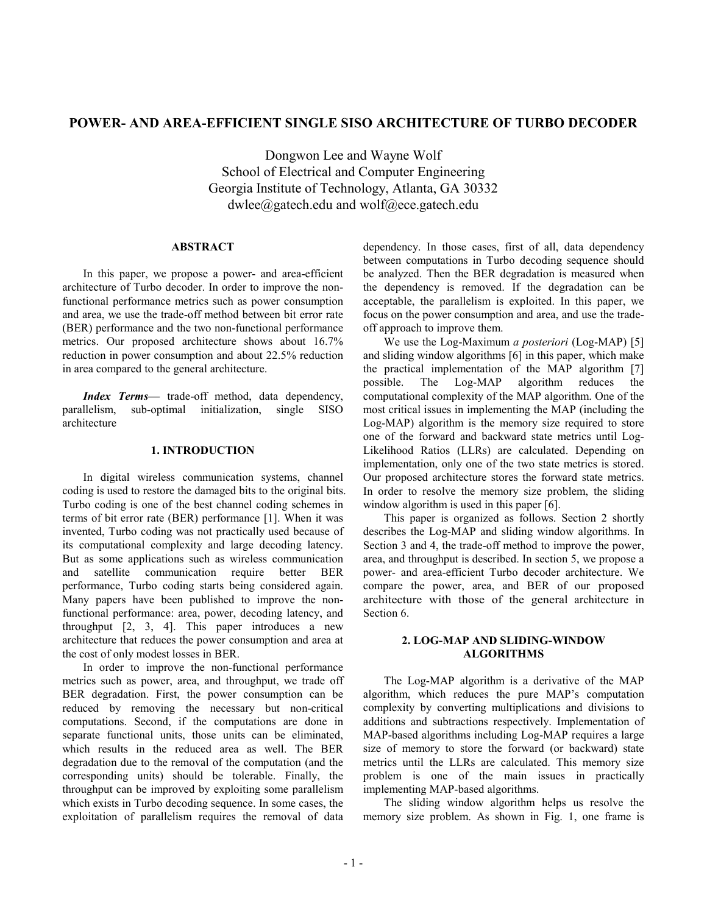# **POWER- AND AREA-EFFICIENT SINGLE SISO ARCHITECTURE OF TURBO DECODER**

Dongwon Lee and Wayne Wolf School of Electrical and Computer Engineering Georgia Institute of Technology, Atlanta, GA 30332 dwlee@gatech.edu and wolf@ece.gatech.edu

## **ABSTRACT**

In this paper, we propose a power- and area-efficient architecture of Turbo decoder. In order to improve the nonfunctional performance metrics such as power consumption and area, we use the trade-off method between bit error rate (BER) performance and the two non-functional performance metrics. Our proposed architecture shows about 16.7% reduction in power consumption and about 22.5% reduction in area compared to the general architecture.

*Index Terms*— trade-off method, data dependency, parallelism, sub-optimal initialization, single SISO architecture

## **1. INTRODUCTION**

In digital wireless communication systems, channel coding is used to restore the damaged bits to the original bits. Turbo coding is one of the best channel coding schemes in terms of bit error rate (BER) performance [1]. When it was invented, Turbo coding was not practically used because of its computational complexity and large decoding latency. But as some applications such as wireless communication and satellite communication require better BER performance, Turbo coding starts being considered again. Many papers have been published to improve the nonfunctional performance: area, power, decoding latency, and throughput [2, 3, 4]. This paper introduces a new architecture that reduces the power consumption and area at the cost of only modest losses in BER.

In order to improve the non-functional performance metrics such as power, area, and throughput, we trade off BER degradation. First, the power consumption can be reduced by removing the necessary but non-critical computations. Second, if the computations are done in separate functional units, those units can be eliminated, which results in the reduced area as well. The BER degradation due to the removal of the computation (and the corresponding units) should be tolerable. Finally, the throughput can be improved by exploiting some parallelism which exists in Turbo decoding sequence. In some cases, the exploitation of parallelism requires the removal of data

dependency. In those cases, first of all, data dependency between computations in Turbo decoding sequence should be analyzed. Then the BER degradation is measured when the dependency is removed. If the degradation can be acceptable, the parallelism is exploited. In this paper, we focus on the power consumption and area, and use the tradeoff approach to improve them.

We use the Log-Maximum *a posteriori* (Log-MAP) [5] and sliding window algorithms [6] in this paper, which make the practical implementation of the MAP algorithm [7] possible. The Log-MAP algorithm reduces the computational complexity of the MAP algorithm. One of the most critical issues in implementing the MAP (including the Log-MAP) algorithm is the memory size required to store one of the forward and backward state metrics until Log-Likelihood Ratios (LLRs) are calculated. Depending on implementation, only one of the two state metrics is stored. Our proposed architecture stores the forward state metrics. In order to resolve the memory size problem, the sliding window algorithm is used in this paper [6].

This paper is organized as follows. Section 2 shortly describes the Log-MAP and sliding window algorithms. In Section 3 and 4, the trade-off method to improve the power, area, and throughput is described. In section 5, we propose a power- and area-efficient Turbo decoder architecture. We compare the power, area, and BER of our proposed architecture with those of the general architecture in Section 6.

## **2. LOG-MAP AND SLIDING-WINDOW ALGORITHMS**

The Log-MAP algorithm is a derivative of the MAP algorithm, which reduces the pure MAP's computation complexity by converting multiplications and divisions to additions and subtractions respectively. Implementation of MAP-based algorithms including Log-MAP requires a large size of memory to store the forward (or backward) state metrics until the LLRs are calculated. This memory size problem is one of the main issues in practically implementing MAP-based algorithms.

The sliding window algorithm helps us resolve the memory size problem. As shown in Fig. 1, one frame is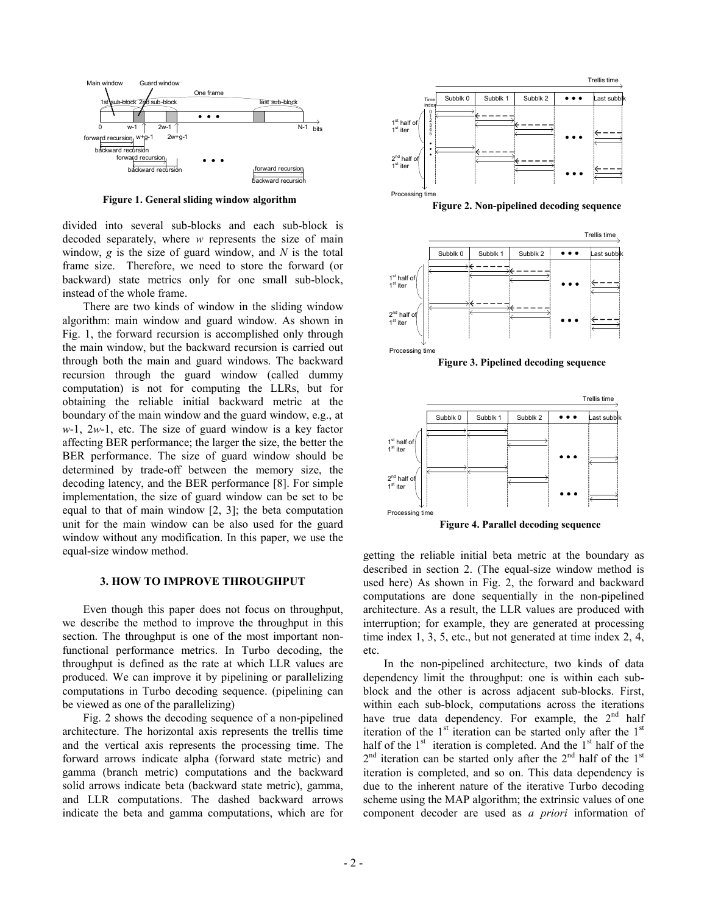

 **Figure 1. General sliding window algorithm** 

divided into several sub-blocks and each sub-block is decoded separately, where *w* represents the size of main window, *g* is the size of guard window, and *N* is the total frame size. Therefore, we need to store the forward (or backward) state metrics only for one small sub-block, instead of the whole frame.

There are two kinds of window in the sliding window algorithm: main window and guard window. As shown in Fig. 1, the forward recursion is accomplished only through the main window, but the backward recursion is carried out through both the main and guard windows. The backward recursion through the guard window (called dummy computation) is not for computing the LLRs, but for obtaining the reliable initial backward metric at the boundary of the main window and the guard window, e.g., at *w*-1, 2*w*-1, etc. The size of guard window is a key factor affecting BER performance; the larger the size, the better the BER performance. The size of guard window should be determined by trade-off between the memory size, the decoding latency, and the BER performance [8]. For simple implementation, the size of guard window can be set to be equal to that of main window [2, 3]; the beta computation unit for the main window can be also used for the guard window without any modification. In this paper, we use the equal-size window method.

## **3. HOW TO IMPROVE THROUGHPUT**

Even though this paper does not focus on throughput, we describe the method to improve the throughput in this section. The throughput is one of the most important nonfunctional performance metrics. In Turbo decoding, the throughput is defined as the rate at which LLR values are produced. We can improve it by pipelining or parallelizing computations in Turbo decoding sequence. (pipelining can be viewed as one of the parallelizing)

Fig. 2 shows the decoding sequence of a non-pipelined architecture. The horizontal axis represents the trellis time and the vertical axis represents the processing time. The forward arrows indicate alpha (forward state metric) and gamma (branch metric) computations and the backward solid arrows indicate beta (backward state metric), gamma, and LLR computations. The dashed backward arrows indicate the beta and gamma computations, which are for



**Figure 2. Non-pipelined decoding sequence**



**Figure 3. Pipelined decoding sequence**



getting the reliable initial beta metric at the boundary as described in section 2. (The equal-size window method is used here) As shown in Fig. 2, the forward and backward computations are done sequentially in the non-pipelined architecture. As a result, the LLR values are produced with interruption; for example, they are generated at processing time index 1, 3, 5, etc., but not generated at time index 2, 4, etc.

In the non-pipelined architecture, two kinds of data dependency limit the throughput: one is within each subblock and the other is across adjacent sub-blocks. First, within each sub-block, computations across the iterations have true data dependency. For example, the  $2<sup>nd</sup>$  half iteration of the  $1<sup>st</sup>$  iteration can be started only after the  $1<sup>st</sup>$ half of the  $1<sup>st</sup>$  iteration is completed. And the  $1<sup>st</sup>$  half of the  $2<sup>nd</sup>$  iteration can be started only after the  $2<sup>nd</sup>$  half of the  $1<sup>st</sup>$ iteration is completed, and so on. This data dependency is due to the inherent nature of the iterative Turbo decoding scheme using the MAP algorithm; the extrinsic values of one component decoder are used as *a priori* information of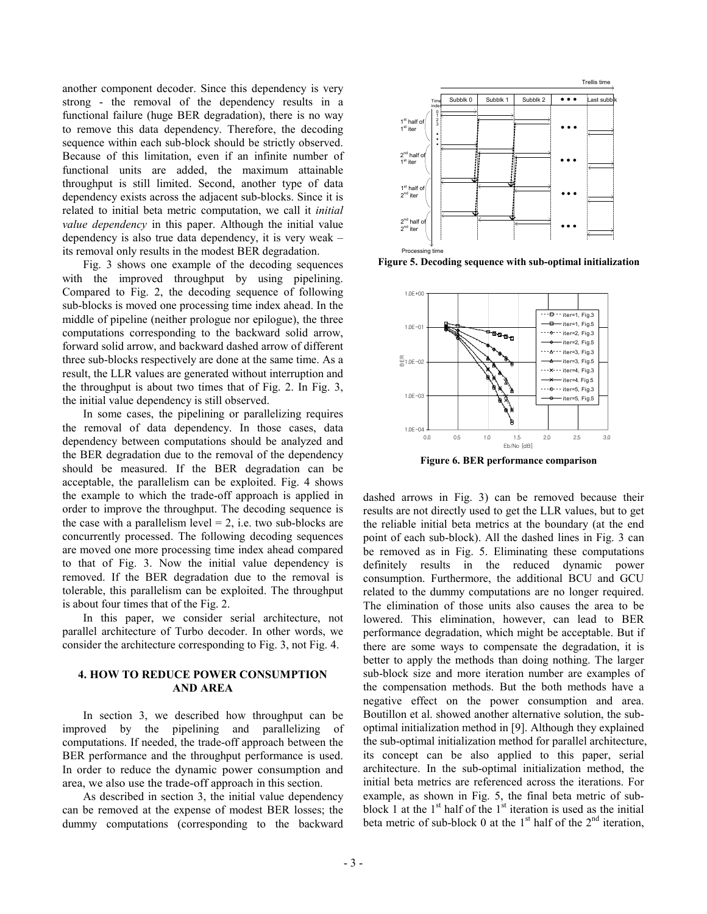another component decoder. Since this dependency is very strong - the removal of the dependency results in a functional failure (huge BER degradation), there is no way to remove this data dependency. Therefore, the decoding sequence within each sub-block should be strictly observed. Because of this limitation, even if an infinite number of functional units are added, the maximum attainable throughput is still limited. Second, another type of data dependency exists across the adjacent sub-blocks. Since it is related to initial beta metric computation, we call it *initial value dependency* in this paper. Although the initial value dependency is also true data dependency, it is very weak – its removal only results in the modest BER degradation.

Fig. 3 shows one example of the decoding sequences with the improved throughput by using pipelining. Compared to Fig. 2, the decoding sequence of following sub-blocks is moved one processing time index ahead. In the middle of pipeline (neither prologue nor epilogue), the three computations corresponding to the backward solid arrow, forward solid arrow, and backward dashed arrow of different three sub-blocks respectively are done at the same time. As a result, the LLR values are generated without interruption and the throughput is about two times that of Fig. 2. In Fig. 3, the initial value dependency is still observed.

In some cases, the pipelining or parallelizing requires the removal of data dependency. In those cases, data dependency between computations should be analyzed and the BER degradation due to the removal of the dependency should be measured. If the BER degradation can be acceptable, the parallelism can be exploited. Fig. 4 shows the example to which the trade-off approach is applied in order to improve the throughput. The decoding sequence is the case with a parallelism level  $= 2$ , i.e. two sub-blocks are concurrently processed. The following decoding sequences are moved one more processing time index ahead compared to that of Fig. 3. Now the initial value dependency is removed. If the BER degradation due to the removal is tolerable, this parallelism can be exploited. The throughput is about four times that of the Fig. 2.

In this paper, we consider serial architecture, not parallel architecture of Turbo decoder. In other words, we consider the architecture corresponding to Fig. 3, not Fig. 4.

## **4. HOW TO REDUCE POWER CONSUMPTION AND AREA**

In section 3, we described how throughput can be improved by the pipelining and parallelizing of computations. If needed, the trade-off approach between the BER performance and the throughput performance is used. In order to reduce the dynamic power consumption and area, we also use the trade-off approach in this section.

As described in section 3, the initial value dependency can be removed at the expense of modest BER losses; the dummy computations (corresponding to the backward



**Figure 5. Decoding sequence with sub-optimal initialization**



**Figure 6. BER performance comparison**

dashed arrows in Fig. 3) can be removed because their results are not directly used to get the LLR values, but to get the reliable initial beta metrics at the boundary (at the end point of each sub-block). All the dashed lines in Fig. 3 can be removed as in Fig. 5. Eliminating these computations definitely results in the reduced dynamic power consumption. Furthermore, the additional BCU and GCU related to the dummy computations are no longer required. The elimination of those units also causes the area to be lowered. This elimination, however, can lead to BER performance degradation, which might be acceptable. But if there are some ways to compensate the degradation, it is better to apply the methods than doing nothing. The larger sub-block size and more iteration number are examples of the compensation methods. But the both methods have a negative effect on the power consumption and area. Boutillon et al. showed another alternative solution, the suboptimal initialization method in [9]. Although they explained the sub-optimal initialization method for parallel architecture, its concept can be also applied to this paper, serial architecture. In the sub-optimal initialization method, the initial beta metrics are referenced across the iterations. For example, as shown in Fig. 5, the final beta metric of subblock 1 at the  $1<sup>st</sup>$  half of the  $1<sup>st</sup>$  iteration is used as the initial beta metric of sub-block 0 at the  $1<sup>st</sup>$  half of the  $2<sup>nd</sup>$  iteration,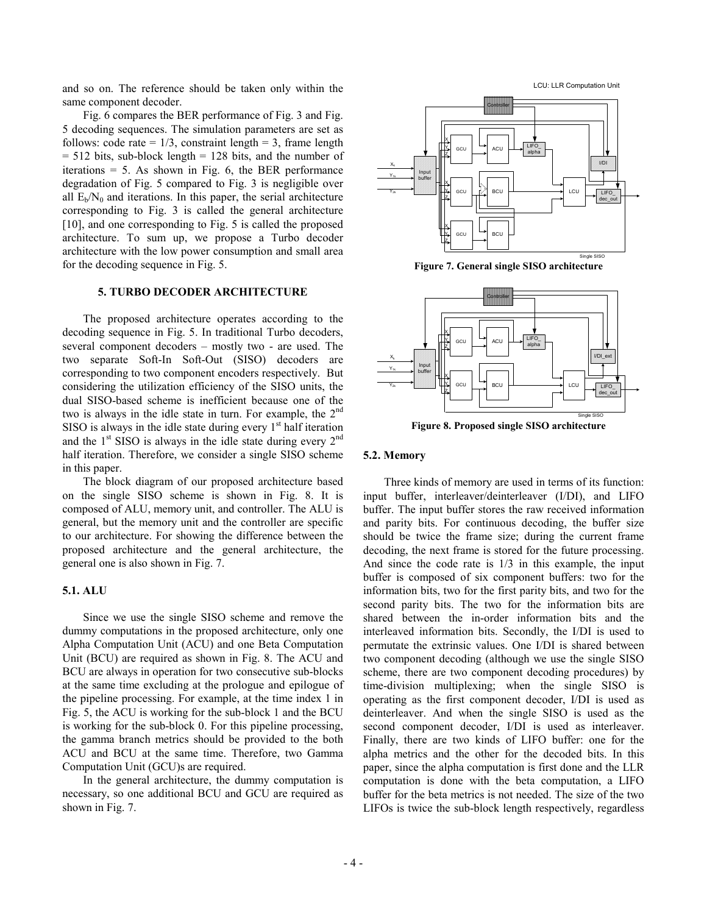and so on. The reference should be taken only within the same component decoder.

Fig. 6 compares the BER performance of Fig. 3 and Fig. 5 decoding sequences. The simulation parameters are set as follows: code rate =  $1/3$ , constraint length = 3, frame length  $= 512$  bits, sub-block length  $= 128$  bits, and the number of iterations  $= 5$ . As shown in Fig. 6, the BER performance degradation of Fig. 5 compared to Fig. 3 is negligible over all  $E_b/N_0$  and iterations. In this paper, the serial architecture corresponding to Fig. 3 is called the general architecture [10], and one corresponding to Fig. 5 is called the proposed architecture. To sum up, we propose a Turbo decoder architecture with the low power consumption and small area for the decoding sequence in Fig. 5.

## **5. TURBO DECODER ARCHITECTURE**

The proposed architecture operates according to the decoding sequence in Fig. 5. In traditional Turbo decoders, several component decoders – mostly two - are used. The two separate Soft-In Soft-Out (SISO) decoders are corresponding to two component encoders respectively. But considering the utilization efficiency of the SISO units, the dual SISO-based scheme is inefficient because one of the two is always in the idle state in turn. For example, the 2<sup>nd</sup> SISO is always in the idle state during every  $1<sup>st</sup>$  half iteration and the  $1<sup>st</sup>$  SISO is always in the idle state during every  $2<sup>nd</sup>$ half iteration. Therefore, we consider a single SISO scheme in this paper.

The block diagram of our proposed architecture based on the single SISO scheme is shown in Fig. 8. It is composed of ALU, memory unit, and controller. The ALU is general, but the memory unit and the controller are specific to our architecture. For showing the difference between the proposed architecture and the general architecture, the general one is also shown in Fig. 7.

#### **5.1. ALU**

Since we use the single SISO scheme and remove the dummy computations in the proposed architecture, only one Alpha Computation Unit (ACU) and one Beta Computation Unit (BCU) are required as shown in Fig. 8. The ACU and BCU are always in operation for two consecutive sub-blocks at the same time excluding at the prologue and epilogue of the pipeline processing. For example, at the time index 1 in Fig. 5, the ACU is working for the sub-block 1 and the BCU is working for the sub-block 0. For this pipeline processing, the gamma branch metrics should be provided to the both ACU and BCU at the same time. Therefore, two Gamma Computation Unit (GCU)s are required.

In the general architecture, the dummy computation is necessary, so one additional BCU and GCU are required as shown in Fig. 7.





**Figure 7. General single SISO architecture**



**Figure 8. Proposed single SISO architecture** 

#### **5.2. Memory**

Three kinds of memory are used in terms of its function: input buffer, interleaver/deinterleaver (I/DI), and LIFO buffer. The input buffer stores the raw received information and parity bits. For continuous decoding, the buffer size should be twice the frame size; during the current frame decoding, the next frame is stored for the future processing. And since the code rate is 1/3 in this example, the input buffer is composed of six component buffers: two for the information bits, two for the first parity bits, and two for the second parity bits. The two for the information bits are shared between the in-order information bits and the interleaved information bits. Secondly, the I/DI is used to permutate the extrinsic values. One I/DI is shared between two component decoding (although we use the single SISO scheme, there are two component decoding procedures) by time-division multiplexing; when the single SISO is operating as the first component decoder, I/DI is used as deinterleaver. And when the single SISO is used as the second component decoder, I/DI is used as interleaver. Finally, there are two kinds of LIFO buffer: one for the alpha metrics and the other for the decoded bits. In this paper, since the alpha computation is first done and the LLR computation is done with the beta computation, a LIFO buffer for the beta metrics is not needed. The size of the two LIFOs is twice the sub-block length respectively, regardless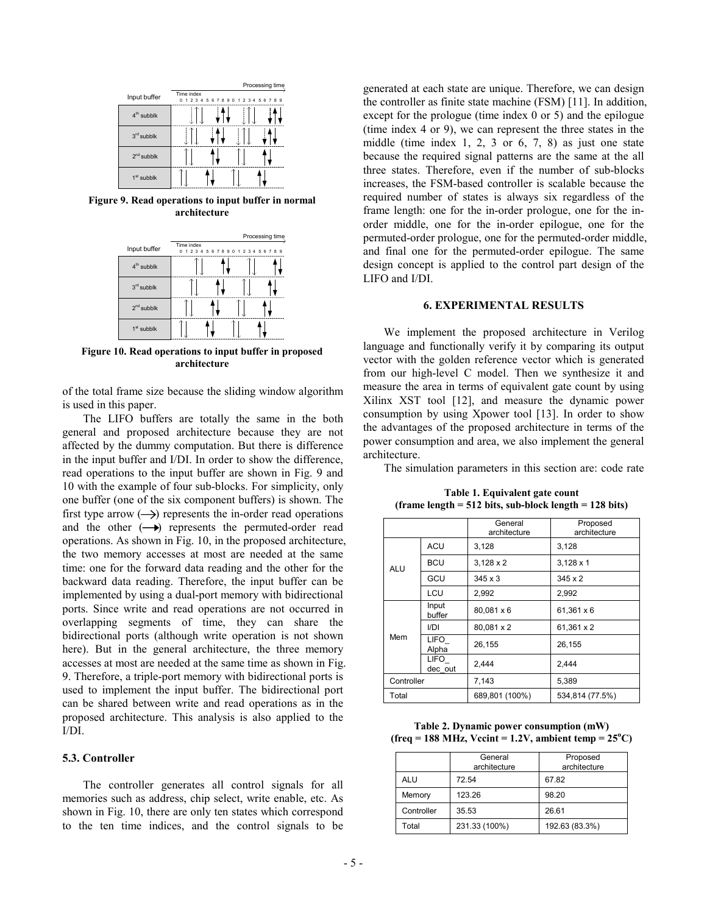|              | Processing time                               |
|--------------|-----------------------------------------------|
| Input buffer | Time index<br>1234567890123456789<br>$\Omega$ |
| $4th$ subblk |                                               |
| $3rd$ subblk |                                               |
| $2nd$ subblk |                                               |
| $1st$ subblk |                                               |

**Figure 9. Read operations to input buffer in normal architecture** 



**Figure 10. Read operations to input buffer in proposed architecture** 

of the total frame size because the sliding window algorithm is used in this paper.

The LIFO buffers are totally the same in the both general and proposed architecture because they are not affected by the dummy computation. But there is difference in the input buffer and I/DI. In order to show the difference, read operations to the input buffer are shown in Fig. 9 and 10 with the example of four sub-blocks. For simplicity, only one buffer (one of the six component buffers) is shown. The first type arrow  $(\rightarrow)$  represents the in-order read operations and the other  $(\rightarrow)$  represents the permuted-order read operations. As shown in Fig. 10, in the proposed architecture, the two memory accesses at most are needed at the same time: one for the forward data reading and the other for the backward data reading. Therefore, the input buffer can be implemented by using a dual-port memory with bidirectional ports. Since write and read operations are not occurred in overlapping segments of time, they can share the bidirectional ports (although write operation is not shown here). But in the general architecture, the three memory accesses at most are needed at the same time as shown in Fig. 9. Therefore, a triple-port memory with bidirectional ports is used to implement the input buffer. The bidirectional port can be shared between write and read operations as in the proposed architecture. This analysis is also applied to the I/DI.

#### **5.3. Controller**

The controller generates all control signals for all memories such as address, chip select, write enable, etc. As shown in Fig. 10, there are only ten states which correspond to the ten time indices, and the control signals to be generated at each state are unique. Therefore, we can design the controller as finite state machine (FSM) [11]. In addition, except for the prologue (time index 0 or 5) and the epilogue (time index 4 or 9), we can represent the three states in the middle (time index 1, 2, 3 or 6, 7, 8) as just one state because the required signal patterns are the same at the all three states. Therefore, even if the number of sub-blocks increases, the FSM-based controller is scalable because the required number of states is always six regardless of the frame length: one for the in-order prologue, one for the inorder middle, one for the in-order epilogue, one for the permuted-order prologue, one for the permuted-order middle, and final one for the permuted-order epilogue. The same design concept is applied to the control part design of the LIFO and I/DI.

## **6. EXPERIMENTAL RESULTS**

We implement the proposed architecture in Verilog language and functionally verify it by comparing its output vector with the golden reference vector which is generated from our high-level C model. Then we synthesize it and measure the area in terms of equivalent gate count by using Xilinx XST tool [12], and measure the dynamic power consumption by using Xpower tool [13]. In order to show the advantages of the proposed architecture in terms of the power consumption and area, we also implement the general architecture.

The simulation parameters in this section are: code rate

**Table 1. Equivalent gate count (frame length = 512 bits, sub-block length = 128 bits)** 

|            |                 | General<br>architecture | Proposed<br>architecture |
|------------|-----------------|-------------------------|--------------------------|
| <b>ALU</b> | <b>ACU</b>      | 3,128                   | 3,128                    |
|            | <b>BCU</b>      | $3,128 \times 2$        | $3,128 \times 1$         |
|            | GCU             | $345 \times 3$          | $345 \times 2$           |
|            | LCU             | 2.992                   | 2,992                    |
| Mem        | Input<br>buffer | 80,081 x 6              | 61,361 x 6               |
|            | I/DI            | 80,081 x 2              | 61,361 x 2               |
|            | LIFO<br>Alpha   | 26,155                  | 26,155                   |
|            | LIFO<br>dec out | 2.444                   | 2.444                    |
| Controller |                 | 7,143                   | 5,389                    |
| Total      |                 | 689,801 (100%)          | 534,814 (77.5%)          |

**Table 2. Dynamic power consumption (mW)**   $($ freq = 188 MHz, Vccint = 1.2V, ambient temp =  $25^{\circ}$ C)

|            | General<br>architecture | Proposed<br>architecture |
|------------|-------------------------|--------------------------|
| ALU        | 72.54                   | 67.82                    |
| Memory     | 123.26                  | 98.20                    |
| Controller | 35.53                   | 26.61                    |
| Total      | 231.33 (100%)           | 192.63 (83.3%)           |